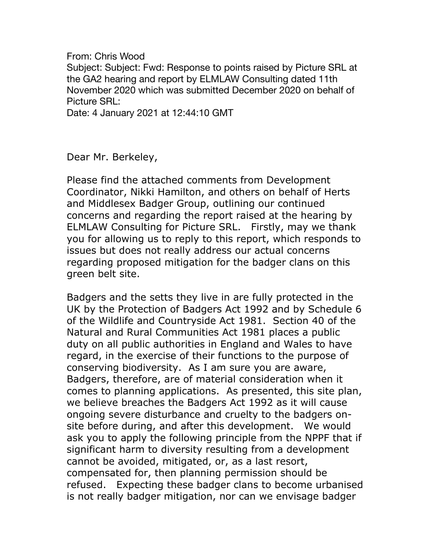From: Chris Wood Subject: Subject: Fwd: Response to points raised by Picture SRL at the GA2 hearing and report by ELMLAW Consulting dated 11th November 2020 which was submitted December 2020 on behalf of Picture SRL: Date: 4 January 2021 at 12:44:10 GMT

Dear Mr. Berkeley,

Please find the attached comments from Development Coordinator, Nikki Hamilton, and others on behalf of Herts and Middlesex Badger Group, outlining our continued concerns and regarding the report raised at the hearing by ELMLAW Consulting for Picture SRL. Firstly, may we thank you for allowing us to reply to this report, which responds to issues but does not really address our actual concerns regarding proposed mitigation for the badger clans on this green belt site.

Badgers and the setts they live in are fully protected in the UK by the Protection of Badgers Act 1992 and by Schedule 6 of the Wildlife and Countryside Act 1981. Section 40 of the Natural and Rural Communities Act 1981 places a public duty on all public authorities in England and Wales to have regard, in the exercise of their functions to the purpose of conserving biodiversity. As I am sure you are aware, Badgers, therefore, are of material consideration when it comes to planning applications. As presented, this site plan, we believe breaches the Badgers Act 1992 as it will cause ongoing severe disturbance and cruelty to the badgers onsite before during, and after this development. We would ask you to apply the following principle from the NPPF that if significant harm to diversity resulting from a development cannot be avoided, mitigated, or, as a last resort, compensated for, then planning permission should be refused. Expecting these badger clans to become urbanised is not really badger mitigation, nor can we envisage badger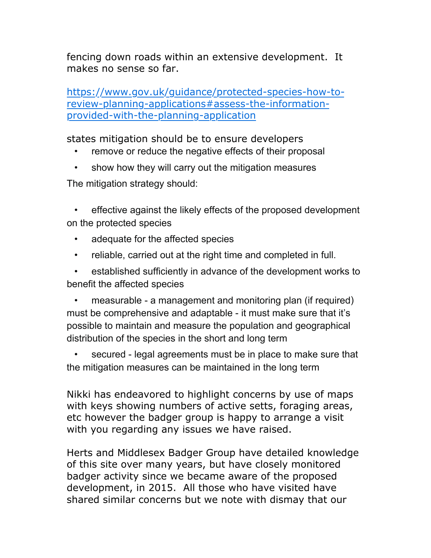fencing down roads within an extensive development. It makes no sense so far.

[https://www.gov.uk/guidance/protected-species-how-to](https://www.gov.uk/guidance/protected-species-how-to-review-planning-applications#assess-the-information-provided-with-the-planning-application)[review-planning-applications#assess-the-information](https://www.gov.uk/guidance/protected-species-how-to-review-planning-applications#assess-the-information-provided-with-the-planning-application)[provided-with-the-planning-application](https://www.gov.uk/guidance/protected-species-how-to-review-planning-applications#assess-the-information-provided-with-the-planning-application)

states mitigation should be to ensure developers

- remove or reduce the negative effects of their proposal
- show how they will carry out the mitigation measures

The mitigation strategy should:

effective against the likely effects of the proposed development on the protected species

- adequate for the affected species
- reliable, carried out at the right time and completed in full.

• established sufficiently in advance of the development works to benefit the affected species

• measurable - a management and monitoring plan (if required) must be comprehensive and adaptable - it must make sure that it's possible to maintain and measure the population and geographical distribution of the species in the short and long term

• secured - legal agreements must be in place to make sure that the mitigation measures can be maintained in the long term

Nikki has endeavored to highlight concerns by use of maps with keys showing numbers of active setts, foraging areas, etc however the badger group is happy to arrange a visit with you regarding any issues we have raised.

Herts and Middlesex Badger Group have detailed knowledge of this site over many years, but have closely monitored badger activity since we became aware of the proposed development, in 2015. All those who have visited have shared similar concerns but we note with dismay that our